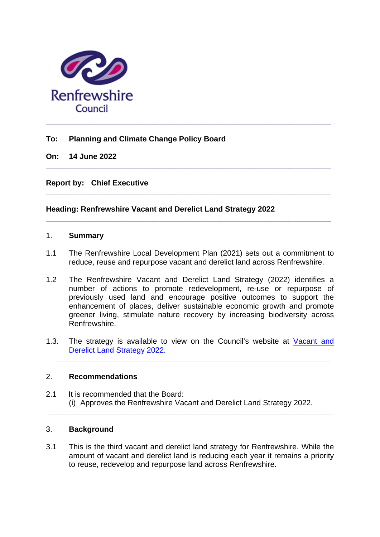

## **To: Planning and Climate Change Policy Board**

**On: 14 June 2022**

**Report by: Chief Executive** 

## **Heading: Renfrewshire Vacant and Derelict Land Strategy 2022**

#### 1. **Summary**

1.1 The Renfrewshire Local Development Plan (2021) sets out a commitment to reduce, reuse and repurpose vacant and derelict land across Renfrewshire.

**\_\_\_\_\_\_\_\_\_\_\_\_\_\_\_\_\_\_\_\_\_\_\_\_\_\_\_\_\_\_\_\_\_\_\_\_\_\_\_\_\_\_\_\_\_\_\_\_\_\_\_\_\_\_\_\_\_\_\_\_\_\_\_\_\_\_\_**

**\_\_\_\_\_\_\_\_\_\_\_\_\_\_\_\_\_\_\_\_\_\_\_\_\_\_\_\_\_\_\_\_\_\_\_\_\_\_\_\_\_\_\_\_\_\_\_\_\_\_\_\_\_\_\_\_\_\_\_\_\_\_\_\_\_\_\_**

**\_\_\_\_\_\_\_\_\_\_\_\_\_\_\_\_\_\_\_\_\_\_\_\_\_\_\_\_\_\_\_\_\_\_\_\_\_\_\_\_\_\_\_\_\_\_\_\_\_\_\_\_\_\_\_\_\_\_\_\_\_\_\_\_\_\_\_**

- 1.2 The Renfrewshire Vacant and Derelict Land Strategy (2022) identifies a number of actions to promote redevelopment, re-use or repurpose of previously used land and encourage positive outcomes to support the enhancement of places, deliver sustainable economic growth and promote greener living, stimulate nature recovery by increasing biodiversity across Renfrewshire.
- 1.3. The strategy is available to view on the Council's website at Vacant and [Derelict Land Strategy 2022.](https://www.renfrewshire.gov.uk/article/7524/Vacant-and-Derelict-Land-Strategy)

**\_\_\_\_\_\_\_\_\_\_\_\_\_\_\_\_\_\_\_\_\_\_\_\_\_\_\_\_\_\_\_\_\_\_\_\_\_\_\_\_\_\_\_\_\_\_\_\_\_\_\_\_\_\_\_\_\_\_\_\_\_\_\_\_**

### 2. **Recommendations**

2.1 It is recommended that the Board: (i) Approves the Renfrewshire Vacant and Derelict Land Strategy 2022. **\_\_\_\_\_\_\_\_\_\_\_\_\_\_\_\_\_\_\_\_\_\_\_\_\_\_\_\_\_\_\_\_\_\_\_\_\_\_\_\_\_\_\_\_\_\_\_\_\_\_\_\_\_\_\_\_\_\_\_\_\_\_\_\_\_\_\_**

# 3. **Background**

3.1 This is the third vacant and derelict land strategy for Renfrewshire. While the amount of vacant and derelict land is reducing each year it remains a priority to reuse, redevelop and repurpose land across Renfrewshire.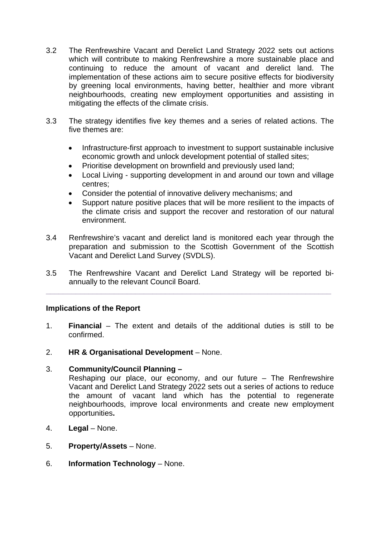- 3.2 The Renfrewshire Vacant and Derelict Land Strategy 2022 sets out actions which will contribute to making Renfrewshire a more sustainable place and continuing to reduce the amount of vacant and derelict land. The implementation of these actions aim to secure positive effects for biodiversity by greening local environments, having better, healthier and more vibrant neighbourhoods, creating new employment opportunities and assisting in mitigating the effects of the climate crisis.
- 3.3 The strategy identifies five key themes and a series of related actions. The five themes are:
	- Infrastructure-first approach to investment to support sustainable inclusive economic growth and unlock development potential of stalled sites;
	- Prioritise development on brownfield and previously used land:
	- Local Living supporting development in and around our town and village centres;
	- Consider the potential of innovative delivery mechanisms; and
	- Support nature positive places that will be more resilient to the impacts of the climate crisis and support the recover and restoration of our natural environment.
- 3.4 Renfrewshire's vacant and derelict land is monitored each year through the preparation and submission to the Scottish Government of the Scottish Vacant and Derelict Land Survey (SVDLS).
- 3.5 The Renfrewshire Vacant and Derelict Land Strategy will be reported biannually to the relevant Council Board.

**\_\_\_\_\_\_\_\_\_\_\_\_\_\_\_\_\_\_\_\_\_\_\_\_\_\_\_\_\_\_\_\_\_\_\_\_\_\_\_\_\_\_\_\_\_\_\_\_\_\_\_\_\_\_\_\_\_\_\_\_\_\_\_\_\_\_\_**

## **Implications of the Report**

- 1. **Financial** The extent and details of the additional duties is still to be confirmed.
- 2. **HR & Organisational Development** None.
- 3. **Community/Council Planning –**

Reshaping our place, our economy, and our future – The Renfrewshire Vacant and Derelict Land Strategy 2022 sets out a series of actions to reduce the amount of vacant land which has the potential to regenerate neighbourhoods, improve local environments and create new employment opportunities**.** 

- 4. **Legal** None.
- 5. **Property/Assets** None.
- 6. **Information Technology** None.